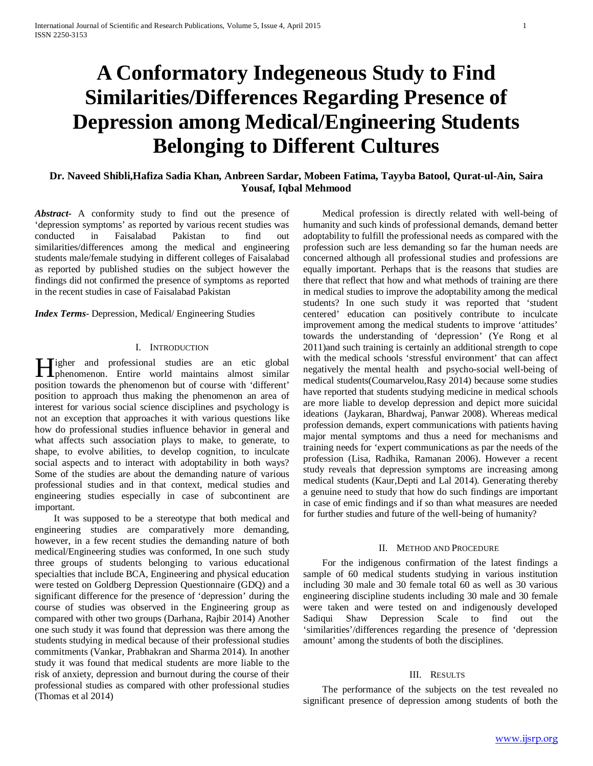# **A Conformatory Indegeneous Study to Find Similarities/Differences Regarding Presence of Depression among Medical/Engineering Students Belonging to Different Cultures**

# **Dr. Naveed Shibli,Hafiza Sadia Khan, Anbreen Sardar, Mobeen Fatima, Tayyba Batool, Qurat-ul-Ain, Saira Yousaf, Iqbal Mehmood**

*Abstract***-** A conformity study to find out the presence of 'depression symptoms' as reported by various recent studies was conducted in Faisalabad Pakistan to find out similarities/differences among the medical and engineering students male/female studying in different colleges of Faisalabad as reported by published studies on the subject however the findings did not confirmed the presence of symptoms as reported in the recent studies in case of Faisalabad Pakistan

### *Index Terms*- Depression, Medical/ Engineering Studies

## I. INTRODUCTION

Tigher and professional studies are an etic global **Hendrich State State State State State State State State State State State State State State State State State State State State State State State State State State State State State State State State State State State St** position towards the phenomenon but of course with 'different' position to approach thus making the phenomenon an area of interest for various social science disciplines and psychology is not an exception that approaches it with various questions like how do professional studies influence behavior in general and what affects such association plays to make, to generate, to shape, to evolve abilities, to develop cognition, to inculcate social aspects and to interact with adoptability in both ways? Some of the studies are about the demanding nature of various professional studies and in that context, medical studies and engineering studies especially in case of subcontinent are important.

 It was supposed to be a stereotype that both medical and engineering studies are comparatively more demanding, however, in a few recent studies the demanding nature of both medical/Engineering studies was conformed, In one such study three groups of students belonging to various educational specialties that include BCA, Engineering and physical education were tested on Goldberg Depression Questionnaire (GDQ) and a significant difference for the presence of 'depression' during the course of studies was observed in the Engineering group as compared with other two groups (Darhana, Rajbir 2014) Another one such study it was found that depression was there among the students studying in medical because of their professional studies commitments (Vankar, Prabhakran and Sharma 2014). In another study it was found that medical students are more liable to the risk of anxiety, depression and burnout during the course of their professional studies as compared with other professional studies (Thomas et al 2014)

 Medical profession is directly related with well-being of humanity and such kinds of professional demands, demand better adoptability to fulfill the professional needs as compared with the profession such are less demanding so far the human needs are concerned although all professional studies and professions are equally important. Perhaps that is the reasons that studies are there that reflect that how and what methods of training are there in medical studies to improve the adoptability among the medical students? In one such study it was reported that 'student centered' education can positively contribute to inculcate improvement among the medical students to improve 'attitudes' towards the understanding of 'depression' (Ye Rong et al 2011)and such training is certainly an additional strength to cope with the medical schools 'stressful environment' that can affect negatively the mental health and psycho-social well-being of medical students(Coumarvelou,Rasy 2014) because some studies have reported that students studying medicine in medical schools are more liable to develop depression and depict more suicidal ideations (Jaykaran, Bhardwaj, Panwar 2008). Whereas medical profession demands, expert communications with patients having major mental symptoms and thus a need for mechanisms and training needs for 'expert communications as par the needs of the profession (Lisa, Radhika, Ramanan 2006). However a recent study reveals that depression symptoms are increasing among medical students (Kaur,Depti and Lal 2014). Generating thereby a genuine need to study that how do such findings are important in case of emic findings and if so than what measures are needed for further studies and future of the well-being of humanity?

#### II. METHOD AND PROCEDURE

 For the indigenous confirmation of the latest findings a sample of 60 medical students studying in various institution including 30 male and 30 female total 60 as well as 30 various engineering discipline students including 30 male and 30 female were taken and were tested on and indigenously developed Sadiqui Shaw Depression Scale to find out the 'similarities'/differences regarding the presence of 'depression amount' among the students of both the disciplines.

#### III. RESULTS

 The performance of the subjects on the test revealed no significant presence of depression among students of both the